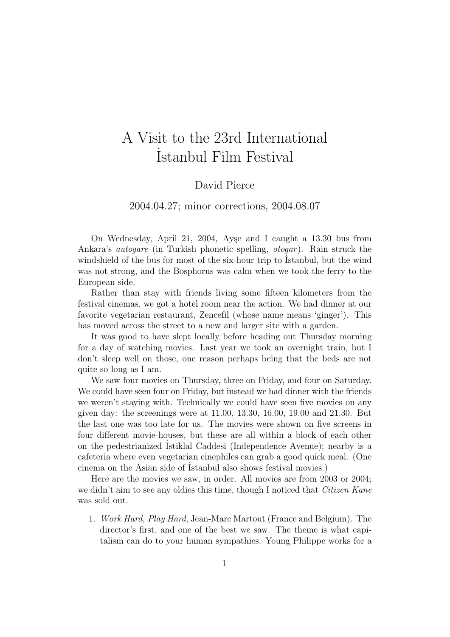## A Visit to the 23rd International ˙ Istanbul Film Festival

## David Pierce

## 2004.04.27; minor corrections, 2004.08.07

On Wednesday, April 21, 2004, Ayse and I caught a 13.30 bus from Ankara's *autogare* (in Turkish phonetic spelling, *otogar*). Rain struck the windshield of the bus for most of the six-hour trip to Istanbul, but the wind was not strong, and the Bosphorus was calm when we took the ferry to the European side.

Rather than stay with friends living some fifteen kilometers from the festival cinemas, we got a hotel room near the action. We had dinner at our favorite vegetarian restaurant, Zencefil (whose name means 'ginger'). This has moved across the street to a new and larger site with a garden.

It was good to have slept locally before heading out Thursday morning for a day of watching movies. Last year we took an overnight train, but I don't sleep well on those, one reason perhaps being that the beds are not quite so long as I am.

We saw four movies on Thursday, three on Friday, and four on Saturday. We could have seen four on Friday, but instead we had dinner with the friends we weren't staying with. Technically we could have seen five movies on any given day: the screenings were at 11.00, 13.30, 16.00, 19.00 and 21.30. But the last one was too late for us. The movies were shown on five screens in four different movie-houses, but these are all within a block of each other on the pedestrianized Istiklal Caddesi (Independence Avenue); nearby is a cafeteria where even vegetarian cinephiles can grab a good quick meal. (One cinema on the Asian side of ˙Istanbul also shows festival movies.)

Here are the movies we saw, in order. All movies are from 2003 or 2004; we didn't aim to see any oldies this time, though I noticed that *Citizen Kane* was sold out.

1. Work Hard, Play Hard, Jean-Marc Martout (France and Belgium). The director's first, and one of the best we saw. The theme is what capitalism can do to your human sympathies. Young Philippe works for a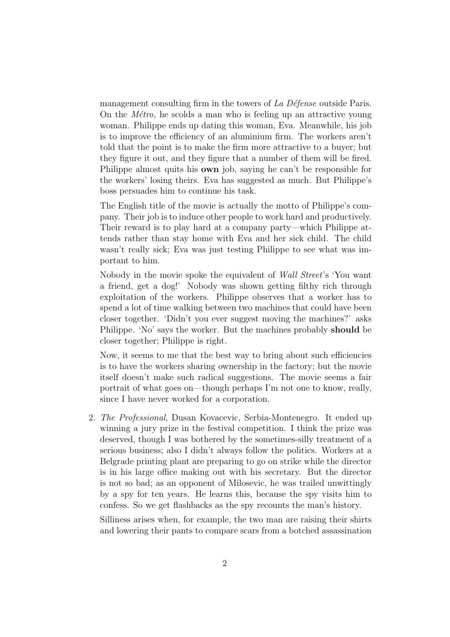management consulting firm in the towers of  $La Défense$  outside Paris. On the *M<sub>etro*</sub>, he scolds a man who is feeling up an attractive young woman. Philippe ends up dating this woman, Eva. Meanwhile, his job is to improve the efficiency of an aluminium firm. The workers aren't told that the point is to make the firm more attractive to a buyer; but they figure it out, and they figure that a number of them will be fired. Philippe almost quits his own job, saying he can't be responsible for the workers' losing theirs. Eva has suggested as much. But Philippe's boss persuades him to continue his task.

The English title of the movie is actually the motto of Philippe's company. Their job is to induce other people to work hard and productively. Their reward is to play hard at a company party—which Philippe attends rather than stay home with Eva and her sick child. The child wasn't really sick; Eva was just testing Philippe to see what was important to him.

Nobody in the movie spoke the equivalent of Wall Street's 'You want a friend, get a dog!' Nobody was shown getting filthy rich through exploitation of the workers. Philippe observes that a worker has to spend a lot of time walking between two machines that could have been closer together. 'Didn't you ever suggest moving the machines?' asks Philippe. 'No' says the worker. But the machines probably should be closer together; Philippe is right.

Now, it seems to me that the best way to bring about such efficiencies is to have the workers sharing ownership in the factory; but the movie itself doesn't make such radical suggestions. The movie seems a fair portrait of what goes on—though perhaps I'm not one to know, really, since I have never worked for a corporation.

2. The Professional, Dusan Kovacevic, Serbia-Montenegro. It ended up winning a jury prize in the festival competition. I think the prize was deserved, though I was bothered by the sometimes-silly treatment of a serious business; also I didn't always follow the politics. Workers at a Belgrade printing plant are preparing to go on strike while the director is in his large office making out with his secretary. But the director is not so bad; as an opponent of Milosevic, he was trailed unwittingly by a spy for ten years. He learns this, because the spy visits him to confess. So we get flashbacks as the spy recounts the man's history.

Silliness arises when, for example, the two man are raising their shirts and lowering their pants to compare scars from a botched assassination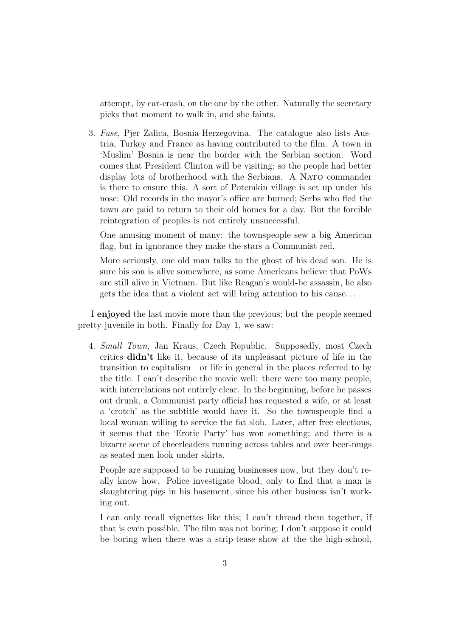attempt, by car-crash, on the one by the other. Naturally the secretary picks that moment to walk in, and she faints.

3. Fuse, Pjer Zalica, Bosnia-Herzegovina. The catalogue also lists Austria, Turkey and France as having contributed to the film. A town in 'Muslim' Bosnia is near the border with the Serbian section. Word comes that President Clinton will be visiting; so the people had better display lots of brotherhood with the Serbians. A NATO commander is there to ensure this. A sort of Potemkin village is set up under his nose: Old records in the mayor's office are burned; Serbs who fled the town are paid to return to their old homes for a day. But the forcible reintegration of peoples is not entirely unsuccessful.

One amusing moment of many: the townspeople sew a big American flag, but in ignorance they make the stars a Communist red.

More seriously, one old man talks to the ghost of his dead son. He is sure his son is alive somewhere, as some Americans believe that PoWs are still alive in Vietnam. But like Reagan's would-be assassin, he also gets the idea that a violent act will bring attention to his cause. . .

I enjoyed the last movie more than the previous; but the people seemed pretty juvenile in both. Finally for Day 1, we saw:

4. Small Town, Jan Kraus, Czech Republic. Supposedly, most Czech critics didn't like it, because of its unpleasant picture of life in the transition to capitalism—or life in general in the places referred to by the title. I can't describe the movie well: there were too many people, with interrelations not entirely clear. In the beginning, before he passes out drunk, a Communist party official has requested a wife, or at least a 'crotch' as the subtitle would have it. So the townspeople find a local woman willing to service the fat slob. Later, after free elections, it seems that the 'Erotic Party' has won something; and there is a bizarre scene of cheerleaders running across tables and over beer-mugs as seated men look under skirts.

People are supposed to be running businesses now, but they don't really know how. Police investigate blood, only to find that a man is slaughtering pigs in his basement, since his other business isn't working out.

I can only recall vignettes like this; I can't thread them together, if that is even possible. The film was not boring; I don't suppose it could be boring when there was a strip-tease show at the the high-school,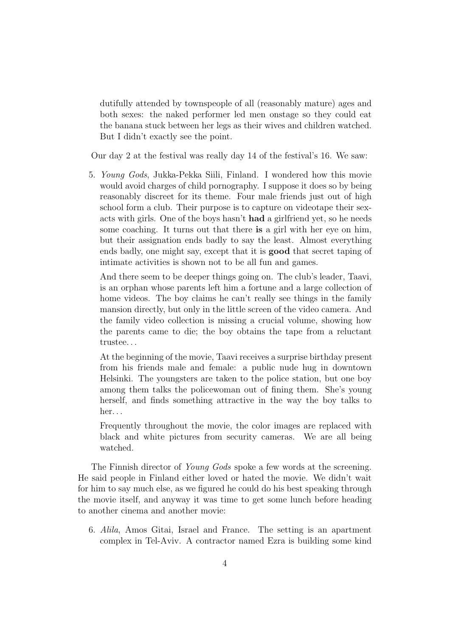dutifully attended by townspeople of all (reasonably mature) ages and both sexes: the naked performer led men onstage so they could eat the banana stuck between her legs as their wives and children watched. But I didn't exactly see the point.

Our day 2 at the festival was really day 14 of the festival's 16. We saw:

5. Young Gods, Jukka-Pekka Siili, Finland. I wondered how this movie would avoid charges of child pornography. I suppose it does so by being reasonably discreet for its theme. Four male friends just out of high school form a club. Their purpose is to capture on videotape their sexacts with girls. One of the boys hasn't had a girlfriend yet, so he needs some coaching. It turns out that there is a girl with her eye on him, but their assignation ends badly to say the least. Almost everything ends badly, one might say, except that it is good that secret taping of intimate activities is shown not to be all fun and games.

And there seem to be deeper things going on. The club's leader, Taavi, is an orphan whose parents left him a fortune and a large collection of home videos. The boy claims he can't really see things in the family mansion directly, but only in the little screen of the video camera. And the family video collection is missing a crucial volume, showing how the parents came to die; the boy obtains the tape from a reluctant trustee. . .

At the beginning of the movie, Taavi receives a surprise birthday present from his friends male and female: a public nude hug in downtown Helsinki. The youngsters are taken to the police station, but one boy among them talks the policewoman out of fining them. She's young herself, and finds something attractive in the way the boy talks to her. . .

Frequently throughout the movie, the color images are replaced with black and white pictures from security cameras. We are all being watched.

The Finnish director of Young Gods spoke a few words at the screening. He said people in Finland either loved or hated the movie. We didn't wait for him to say much else, as we figured he could do his best speaking through the movie itself, and anyway it was time to get some lunch before heading to another cinema and another movie:

6. Alila, Amos Gitai, Israel and France. The setting is an apartment complex in Tel-Aviv. A contractor named Ezra is building some kind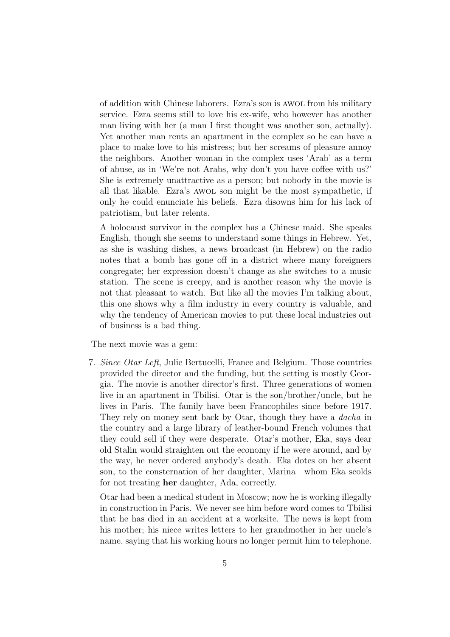of addition with Chinese laborers. Ezra's son is awol from his military service. Ezra seems still to love his ex-wife, who however has another man living with her (a man I first thought was another son, actually). Yet another man rents an apartment in the complex so he can have a place to make love to his mistress; but her screams of pleasure annoy the neighbors. Another woman in the complex uses 'Arab' as a term of abuse, as in 'We're not Arabs, why don't you have coffee with us?' She is extremely unattractive as a person; but nobody in the movie is all that likable. Ezra's awol son might be the most sympathetic, if only he could enunciate his beliefs. Ezra disowns him for his lack of patriotism, but later relents.

A holocaust survivor in the complex has a Chinese maid. She speaks English, though she seems to understand some things in Hebrew. Yet, as she is washing dishes, a news broadcast (in Hebrew) on the radio notes that a bomb has gone off in a district where many foreigners congregate; her expression doesn't change as she switches to a music station. The scene is creepy, and is another reason why the movie is not that pleasant to watch. But like all the movies I'm talking about, this one shows why a film industry in every country is valuable, and why the tendency of American movies to put these local industries out of business is a bad thing.

The next movie was a gem:

7. Since Otar Left, Julie Bertucelli, France and Belgium. Those countries provided the director and the funding, but the setting is mostly Georgia. The movie is another director's first. Three generations of women live in an apartment in Tbilisi. Otar is the son/brother/uncle, but he lives in Paris. The family have been Francophiles since before 1917. They rely on money sent back by Otar, though they have a dacha in the country and a large library of leather-bound French volumes that they could sell if they were desperate. Otar's mother, Eka, says dear old Stalin would straighten out the economy if he were around, and by the way, he never ordered anybody's death. Eka dotes on her absent son, to the consternation of her daughter, Marina—whom Eka scolds for not treating her daughter, Ada, correctly.

Otar had been a medical student in Moscow; now he is working illegally in construction in Paris. We never see him before word comes to Tbilisi that he has died in an accident at a worksite. The news is kept from his mother; his niece writes letters to her grandmother in her uncle's name, saying that his working hours no longer permit him to telephone.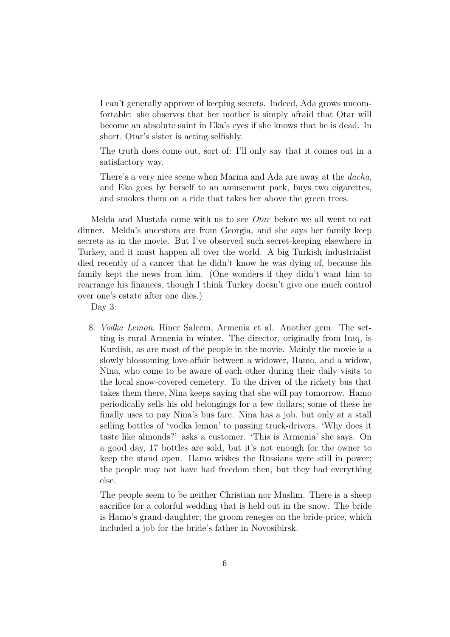I can't generally approve of keeping secrets. Indeed, Ada grows uncomfortable: she observes that her mother is simply afraid that Otar will become an absolute saint in Eka's eyes if she knows that he is dead. In short, Otar's sister is acting selfishly.

The truth does come out, sort of: I'll only say that it comes out in a satisfactory way.

There's a very nice scene when Marina and Ada are away at the *dacha*, and Eka goes by herself to an amusement park, buys two cigarettes, and smokes them on a ride that takes her above the green trees.

Melda and Mustafa came with us to see Otar before we all went to eat dinner. Melda's ancestors are from Georgia, and she says her family keep secrets as in the movie. But I've observed such secret-keeping elsewhere in Turkey, and it must happen all over the world. A big Turkish industrialist died recently of a cancer that he didn't know he was dying of, because his family kept the news from him. (One wonders if they didn't want him to rearrange his finances, though I think Turkey doesn't give one much control over one's estate after one dies.)

Day 3:

8. Vodka Lemon, Hiner Saleem, Armenia et al. Another gem. The setting is rural Armenia in winter. The director, originally from Iraq, is Kurdish, as are most of the people in the movie. Mainly the movie is a slowly blossoming love-affair between a widower, Hamo, and a widow, Nina, who come to be aware of each other during their daily visits to the local snow-covered cemetery. To the driver of the rickety bus that takes them there, Nina keeps saying that she will pay tomorrow. Hamo periodically sells his old belongings for a few dollars; some of these he finally uses to pay Nina's bus fare. Nina has a job, but only at a stall selling bottles of 'vodka lemon' to passing truck-drivers. 'Why does it taste like almonds?' asks a customer. 'This is Armenia' she says. On a good day, 17 bottles are sold, but it's not enough for the owner to keep the stand open. Hamo wishes the Russians were still in power; the people may not have had freedom then, but they had everything else.

The people seem to be neither Christian nor Muslim. There is a sheep sacrifice for a colorful wedding that is held out in the snow. The bride is Hamo's grand-daughter; the groom reneges on the bride-price, which included a job for the bride's father in Novosibirsk.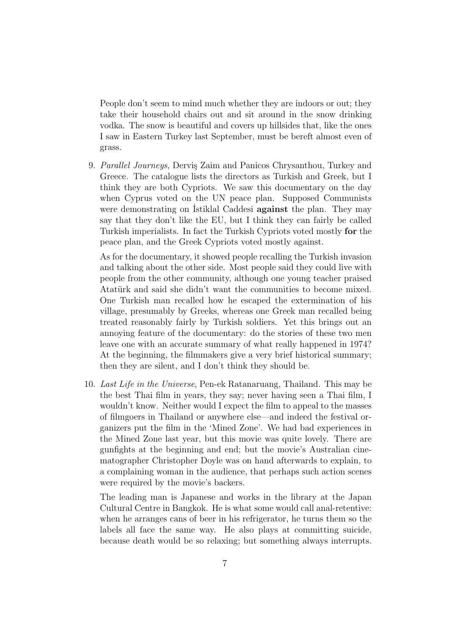People don't seem to mind much whether they are indoors or out; they take their household chairs out and sit around in the snow drinking vodka. The snow is beautiful and covers up hillsides that, like the ones I saw in Eastern Turkey last September, must be bereft almost even of grass.

9. Parallel Journeys, Dervis Zaim and Panicos Chrysanthou, Turkey and Greece. The catalogue lists the directors as Turkish and Greek, but I think they are both Cypriots. We saw this documentary on the day when Cyprus voted on the UN peace plan. Supposed Communists were demonstrating on Istiklal Caddesi **against** the plan. They may say that they don't like the EU, but I think they can fairly be called Turkish imperialists. In fact the Turkish Cypriots voted mostly for the peace plan, and the Greek Cypriots voted mostly against.

As for the documentary, it showed people recalling the Turkish invasion and talking about the other side. Most people said they could live with people from the other community, although one young teacher praised Atatürk and said she didn't want the communities to become mixed. One Turkish man recalled how he escaped the extermination of his village, presumably by Greeks, whereas one Greek man recalled being treated reasonably fairly by Turkish soldiers. Yet this brings out an annoying feature of the documentary: do the stories of these two men leave one with an accurate summary of what really happened in 1974? At the beginning, the filmmakers give a very brief historical summary; then they are silent, and I don't think they should be.

10. Last Life in the Universe, Pen-ek Ratanaruang, Thailand. This may be the best Thai film in years, they say; never having seen a Thai film, I wouldn't know. Neither would I expect the film to appeal to the masses of filmgoers in Thailand or anywhere else—and indeed the festival organizers put the film in the 'Mined Zone'. We had bad experiences in the Mined Zone last year, but this movie was quite lovely. There are gunfights at the beginning and end; but the movie's Australian cinematographer Christopher Doyle was on hand afterwards to explain, to a complaining woman in the audience, that perhaps such action scenes were required by the movie's backers.

The leading man is Japanese and works in the library at the Japan Cultural Centre in Bangkok. He is what some would call anal-retentive: when he arranges cans of beer in his refrigerator, he turns them so the labels all face the same way. He also plays at committing suicide, because death would be so relaxing; but something always interrupts.